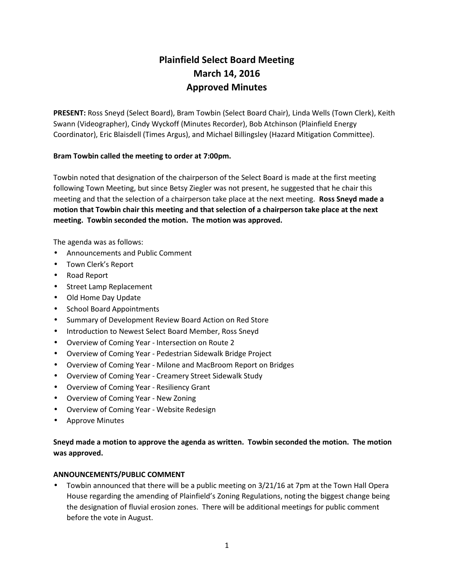# **Plainfield Select Board Meeting March 14, 2016 Approved Minutes**

**PRESENT:** Ross Sneyd (Select Board), Bram Towbin (Select Board Chair), Linda Wells (Town Clerk), Keith Swann (Videographer), Cindy Wyckoff (Minutes Recorder), Bob Atchinson (Plainfield Energy Coordinator), Eric Blaisdell (Times Argus), and Michael Billingsley (Hazard Mitigation Committee).

## **Bram Towbin called the meeting to order at 7:00pm.**

Towbin noted that designation of the chairperson of the Select Board is made at the first meeting following Town Meeting, but since Betsy Ziegler was not present, he suggested that he chair this meeting and that the selection of a chairperson take place at the next meeting. **Ross Sneyd made a motion that Towbin chair this meeting and that selection of a chairperson take place at the next meeting. Towbin seconded the motion. The motion was approved.**

The agenda was as follows:

- Announcements and Public Comment
- Town Clerk's Report
- Road Report
- **•** Street Lamp Replacement
- Old Home Day Update
- School Board Appointments
- Summary of Development Review Board Action on Red Store
- Introduction to Newest Select Board Member, Ross Sneyd
- Overview of Coming Year Intersection on Route 2
- Overview of Coming Year Pedestrian Sidewalk Bridge Project
- Overview of Coming Year Milone and MacBroom Report on Bridges
- Overview of Coming Year Creamery Street Sidewalk Study
- Overview of Coming Year Resiliency Grant
- Overview of Coming Year New Zoning
- Overview of Coming Year Website Redesign
- Approve Minutes

# **Sneyd made a motion to approve the agenda as written. Towbin seconded the motion. The motion was approved.**

#### **ANNOUNCEMENTS/PUBLIC COMMENT**

 Towbin announced that there will be a public meeting on 3/21/16 at 7pm at the Town Hall Opera House regarding the amending of Plainfield's Zoning Regulations, noting the biggest change being the designation of fluvial erosion zones. There will be additional meetings for public comment before the vote in August.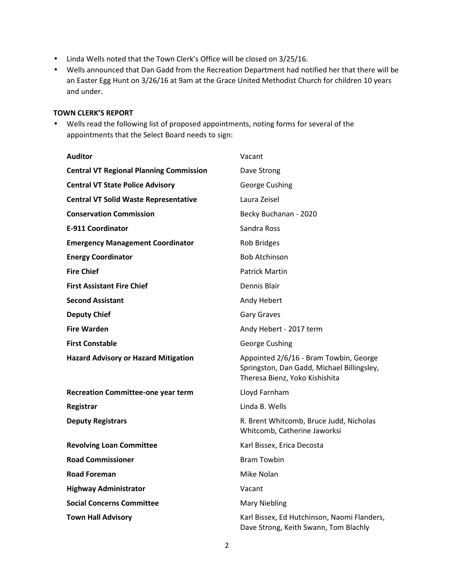- Linda Wells noted that the Town Clerk's Office will be closed on 3/25/16.
- Wells announced that Dan Gadd from the Recreation Department had notified her that there will be an Easter Egg Hunt on 3/26/16 at 9am at the Grace United Methodist Church for children 10 years and under.

#### **TOWN CLERK'S REPORT**

 Wells read the following list of proposed appointments, noting forms for several of the appointments that the Select Board needs to sign:

| <b>Auditor</b>                                 | Vacant                                                                                                                 |
|------------------------------------------------|------------------------------------------------------------------------------------------------------------------------|
| <b>Central VT Regional Planning Commission</b> | Dave Strong                                                                                                            |
| <b>Central VT State Police Advisory</b>        | George Cushing                                                                                                         |
| <b>Central VT Solid Waste Representative</b>   | Laura Zeisel                                                                                                           |
| <b>Conservation Commission</b>                 | Becky Buchanan - 2020                                                                                                  |
| <b>E-911 Coordinator</b>                       | Sandra Ross                                                                                                            |
| <b>Emergency Management Coordinator</b>        | <b>Rob Bridges</b>                                                                                                     |
| <b>Energy Coordinator</b>                      | <b>Bob Atchinson</b>                                                                                                   |
| <b>Fire Chief</b>                              | <b>Patrick Martin</b>                                                                                                  |
| <b>First Assistant Fire Chief</b>              | Dennis Blair                                                                                                           |
| <b>Second Assistant</b>                        | Andy Hebert                                                                                                            |
| <b>Deputy Chief</b>                            | <b>Gary Graves</b>                                                                                                     |
| <b>Fire Warden</b>                             | Andy Hebert - 2017 term                                                                                                |
| <b>First Constable</b>                         | George Cushing                                                                                                         |
| <b>Hazard Advisory or Hazard Mitigation</b>    | Appointed 2/6/16 - Bram Towbin, George<br>Springston, Dan Gadd, Michael Billingsley,<br>Theresa Bienz, Yoko Kishishita |
| <b>Recreation Committee-one year term</b>      | Lloyd Farnham                                                                                                          |
| Registrar                                      | Linda B. Wells                                                                                                         |
| <b>Deputy Registrars</b>                       | R. Brent Whitcomb, Bruce Judd, Nicholas<br>Whitcomb, Catherine Jaworksi                                                |
| <b>Revolving Loan Committee</b>                | Karl Bissex, Erica Decosta                                                                                             |
| <b>Road Commissioner</b>                       | <b>Bram Towbin</b>                                                                                                     |
| <b>Road Foreman</b>                            | Mike Nolan                                                                                                             |
| <b>Highway Administrator</b>                   | Vacant                                                                                                                 |
| <b>Social Concerns Committee</b>               | <b>Mary Niebling</b>                                                                                                   |
| <b>Town Hall Advisory</b>                      | Karl Bissex, Ed Hutchinson, Naomi Flanders,<br>Dave Strong, Keith Swann, Tom Blachly                                   |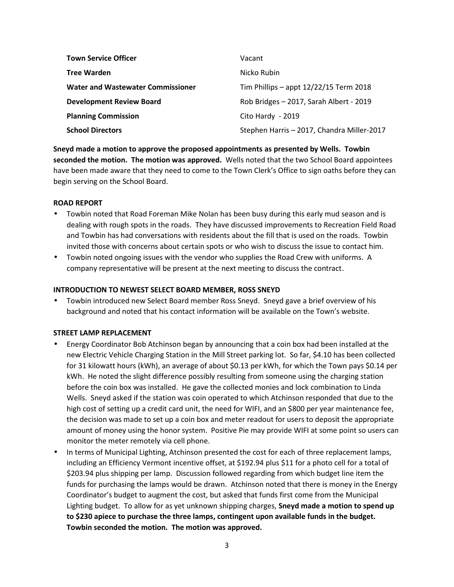| <b>Town Service Officer</b>              | Vacant                                     |
|------------------------------------------|--------------------------------------------|
| <b>Tree Warden</b>                       | Nicko Rubin                                |
| <b>Water and Wastewater Commissioner</b> | Tim Phillips - appt $12/22/15$ Term 2018   |
| <b>Development Review Board</b>          | Rob Bridges - 2017, Sarah Albert - 2019    |
| <b>Planning Commission</b>               | Cito Hardy - 2019                          |
| <b>School Directors</b>                  | Stephen Harris - 2017, Chandra Miller-2017 |

**Sneyd made a motion to approve the proposed appointments as presented by Wells. Towbin seconded the motion. The motion was approved.** Wells noted that the two School Board appointees have been made aware that they need to come to the Town Clerk's Office to sign oaths before they can begin serving on the School Board.

#### **ROAD REPORT**

- Towbin noted that Road Foreman Mike Nolan has been busy during this early mud season and is dealing with rough spots in the roads. They have discussed improvements to Recreation Field Road and Towbin has had conversations with residents about the fill that is used on the roads. Towbin invited those with concerns about certain spots or who wish to discuss the issue to contact him.
- Towbin noted ongoing issues with the vendor who supplies the Road Crew with uniforms. A company representative will be present at the next meeting to discuss the contract.

#### **INTRODUCTION TO NEWEST SELECT BOARD MEMBER, ROSS SNEYD**

 Towbin introduced new Select Board member Ross Sneyd. Sneyd gave a brief overview of his background and noted that his contact information will be available on the Town's website.

#### **STREET LAMP REPLACEMENT**

- Energy Coordinator Bob Atchinson began by announcing that a coin box had been installed at the new Electric Vehicle Charging Station in the Mill Street parking lot. So far, \$4.10 has been collected for 31 kilowatt hours (kWh), an average of about \$0.13 per kWh, for which the Town pays \$0.14 per kWh. He noted the slight difference possibly resulting from someone using the charging station before the coin box was installed. He gave the collected monies and lock combination to Linda Wells. Sneyd asked if the station was coin operated to which Atchinson responded that due to the high cost of setting up a credit card unit, the need for WIFI, and an \$800 per year maintenance fee, the decision was made to set up a coin box and meter readout for users to deposit the appropriate amount of money using the honor system. Positive Pie may provide WIFI at some point so users can monitor the meter remotely via cell phone.
- In terms of Municipal Lighting, Atchinson presented the cost for each of three replacement lamps, including an Efficiency Vermont incentive offset, at \$192.94 plus \$11 for a photo cell for a total of \$203.94 plus shipping per lamp. Discussion followed regarding from which budget line item the funds for purchasing the lamps would be drawn. Atchinson noted that there is money in the Energy Coordinator's budget to augment the cost, but asked that funds first come from the Municipal Lighting budget. To allow for as yet unknown shipping charges, **Sneyd made a motion to spend up to \$230 apiece to purchase the three lamps, contingent upon available funds in the budget. Towbin seconded the motion. The motion was approved.**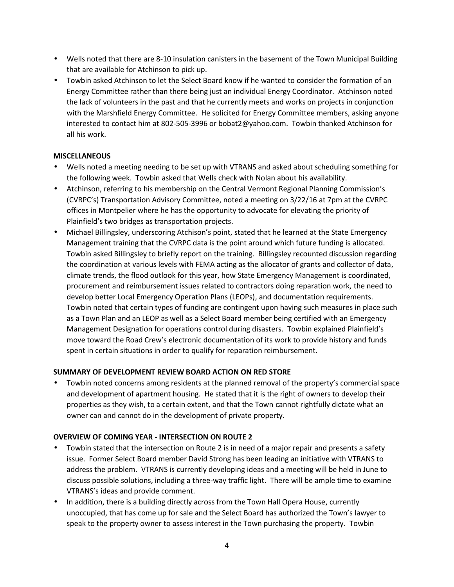- Wells noted that there are 8-10 insulation canisters in the basement of the Town Municipal Building that are available for Atchinson to pick up.
- Towbin asked Atchinson to let the Select Board know if he wanted to consider the formation of an Energy Committee rather than there being just an individual Energy Coordinator. Atchinson noted the lack of volunteers in the past and that he currently meets and works on projects in conjunction with the Marshfield Energy Committee. He solicited for Energy Committee members, asking anyone interested to contact him at 802-505-3996 or bobat2@yahoo.com. Towbin thanked Atchinson for all his work.

## **MISCELLANEOUS**

- Wells noted a meeting needing to be set up with VTRANS and asked about scheduling something for the following week. Towbin asked that Wells check with Nolan about his availability.
- Atchinson, referring to his membership on the Central Vermont Regional Planning Commission's (CVRPC's) Transportation Advisory Committee, noted a meeting on 3/22/16 at 7pm at the CVRPC offices in Montpelier where he has the opportunity to advocate for elevating the priority of Plainfield's two bridges as transportation projects.
- Michael Billingsley, underscoring Atchison's point, stated that he learned at the State Emergency Management training that the CVRPC data is the point around which future funding is allocated. Towbin asked Billingsley to briefly report on the training. Billingsley recounted discussion regarding the coordination at various levels with FEMA acting as the allocator of grants and collector of data, climate trends, the flood outlook for this year, how State Emergency Management is coordinated, procurement and reimbursement issues related to contractors doing reparation work, the need to develop better Local Emergency Operation Plans (LEOPs), and documentation requirements. Towbin noted that certain types of funding are contingent upon having such measures in place such as a Town Plan and an LEOP as well as a Select Board member being certified with an Emergency Management Designation for operations control during disasters. Towbin explained Plainfield's move toward the Road Crew's electronic documentation of its work to provide history and funds spent in certain situations in order to qualify for reparation reimbursement.

## **SUMMARY OF DEVELOPMENT REVIEW BOARD ACTION ON RED STORE**

 Towbin noted concerns among residents at the planned removal of the property's commercial space and development of apartment housing. He stated that it is the right of owners to develop their properties as they wish, to a certain extent, and that the Town cannot rightfully dictate what an owner can and cannot do in the development of private property.

#### **OVERVIEW OF COMING YEAR - INTERSECTION ON ROUTE 2**

- Towbin stated that the intersection on Route 2 is in need of a major repair and presents a safety issue. Former Select Board member David Strong has been leading an initiative with VTRANS to address the problem. VTRANS is currently developing ideas and a meeting will be held in June to discuss possible solutions, including a three-way traffic light. There will be ample time to examine VTRANS's ideas and provide comment.
- In addition, there is a building directly across from the Town Hall Opera House, currently unoccupied, that has come up for sale and the Select Board has authorized the Town's lawyer to speak to the property owner to assess interest in the Town purchasing the property. Towbin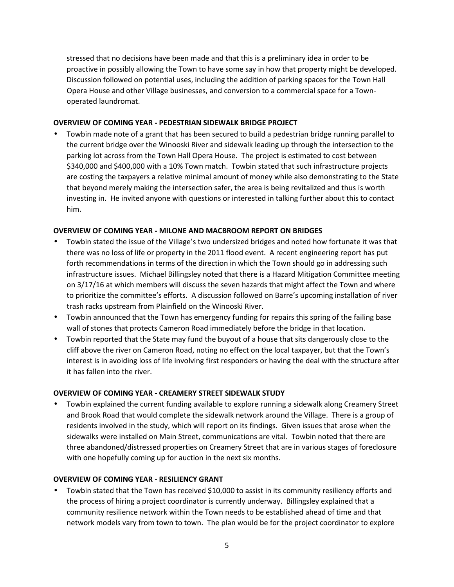stressed that no decisions have been made and that this is a preliminary idea in order to be proactive in possibly allowing the Town to have some say in how that property might be developed. Discussion followed on potential uses, including the addition of parking spaces for the Town Hall Opera House and other Village businesses, and conversion to a commercial space for a Town operated laundromat.

#### **OVERVIEW OF COMING YEAR - PEDESTRIAN SIDEWALK BRIDGE PROJECT**

 Towbin made note of a grant that has been secured to build a pedestrian bridge running parallel to the current bridge over the Winooski River and sidewalk leading up through the intersection to the parking lot across from the Town Hall Opera House. The project is estimated to cost between \$340,000 and \$400,000 with a 10% Town match. Towbin stated that such infrastructure projects are costing the taxpayers a relative minimal amount of money while also demonstrating to the State that beyond merely making the intersection safer, the area is being revitalized and thus is worth investing in. He invited anyone with questions or interested in talking further about this to contact him.

#### **OVERVIEW OF COMING YEAR - MILONE AND MACBROOM REPORT ON BRIDGES**

- Towbin stated the issue of the Village's two undersized bridges and noted how fortunate it was that there was no loss of life or property in the 2011 flood event. A recent engineering report has put forth recommendations in terms of the direction in which the Town should go in addressing such infrastructure issues. Michael Billingsley noted that there is a Hazard Mitigation Committee meeting on 3/17/16 at which members will discuss the seven hazards that might affect the Town and where to prioritize the committee's efforts. A discussion followed on Barre's upcoming installation of river trash racks upstream from Plainfield on the Winooski River.
- Towbin announced that the Town has emergency funding for repairs this spring of the failing base wall of stones that protects Cameron Road immediately before the bridge in that location.
- Towbin reported that the State may fund the buyout of a house that sits dangerously close to the cliff above the river on Cameron Road, noting no effect on the local taxpayer, but that the Town's interest is in avoiding loss of life involving first responders or having the deal with the structure after it has fallen into the river.

## **OVERVIEW OF COMING YEAR - CREAMERY STREET SIDEWALK STUDY**

 Towbin explained the current funding available to explore running a sidewalk along Creamery Street and Brook Road that would complete the sidewalk network around the Village. There is a group of residents involved in the study, which will report on its findings. Given issues that arose when the sidewalks were installed on Main Street, communications are vital. Towbin noted that there are three abandoned/distressed properties on Creamery Street that are in various stages of foreclosure with one hopefully coming up for auction in the next six months.

#### **OVERVIEW OF COMING YEAR - RESILIENCY GRANT**

 Towbin stated that the Town has received \$10,000 to assist in its community resiliency efforts and the process of hiring a project coordinator is currently underway. Billingsley explained that a community resilience network within the Town needs to be established ahead of time and that network models vary from town to town. The plan would be for the project coordinator to explore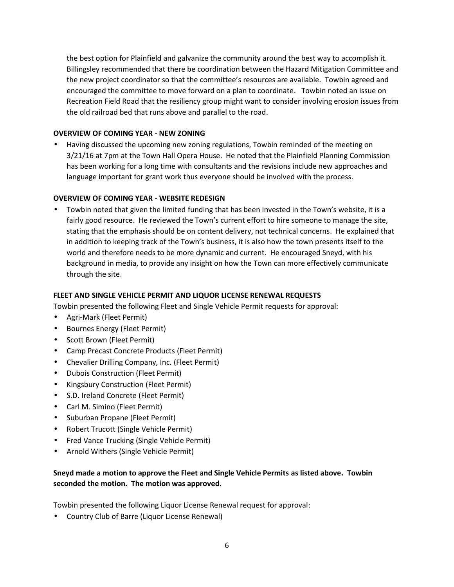the best option for Plainfield and galvanize the community around the best way to accomplish it. Billingsley recommended that there be coordination between the Hazard Mitigation Committee and the new project coordinator so that the committee's resources are available. Towbin agreed and encouraged the committee to move forward on a plan to coordinate. Towbin noted an issue on Recreation Field Road that the resiliency group might want to consider involving erosion issues from the old railroad bed that runs above and parallel to the road.

## **OVERVIEW OF COMING YEAR - NEW ZONING**

 Having discussed the upcoming new zoning regulations, Towbin reminded of the meeting on 3/21/16 at 7pm at the Town Hall Opera House. He noted that the Plainfield Planning Commission has been working for a long time with consultants and the revisions include new approaches and language important for grant work thus everyone should be involved with the process.

## **OVERVIEW OF COMING YEAR - WEBSITE REDESIGN**

 Towbin noted that given the limited funding that has been invested in the Town's website, it is a fairly good resource. He reviewed the Town's current effort to hire someone to manage the site, stating that the emphasis should be on content delivery, not technical concerns. He explained that in addition to keeping track of the Town's business, it is also how the town presents itself to the world and therefore needs to be more dynamic and current. He encouraged Sneyd, with his background in media, to provide any insight on how the Town can more effectively communicate through the site.

## **FLEET AND SINGLE VEHICLE PERMIT AND LIQUOR LICENSE RENEWAL REQUESTS**

Towbin presented the following Fleet and Single Vehicle Permit requests for approval:

- Agri-Mark (Fleet Permit)
- Bournes Energy (Fleet Permit)
- Scott Brown (Fleet Permit)
- Camp Precast Concrete Products (Fleet Permit)
- Chevalier Drilling Company, Inc. (Fleet Permit)
- Dubois Construction (Fleet Permit)
- Kingsbury Construction (Fleet Permit)
- S.D. Ireland Concrete (Fleet Permit)
- Carl M. Simino (Fleet Permit)
- Suburban Propane (Fleet Permit)
- Robert Trucott (Single Vehicle Permit)
- Fred Vance Trucking (Single Vehicle Permit)
- Arnold Withers (Single Vehicle Permit)

# **Sneyd made a motion to approve the Fleet and Single Vehicle Permits as listed above. Towbin seconded the motion. The motion was approved.**

Towbin presented the following Liquor License Renewal request for approval:

Country Club of Barre (Liquor License Renewal)